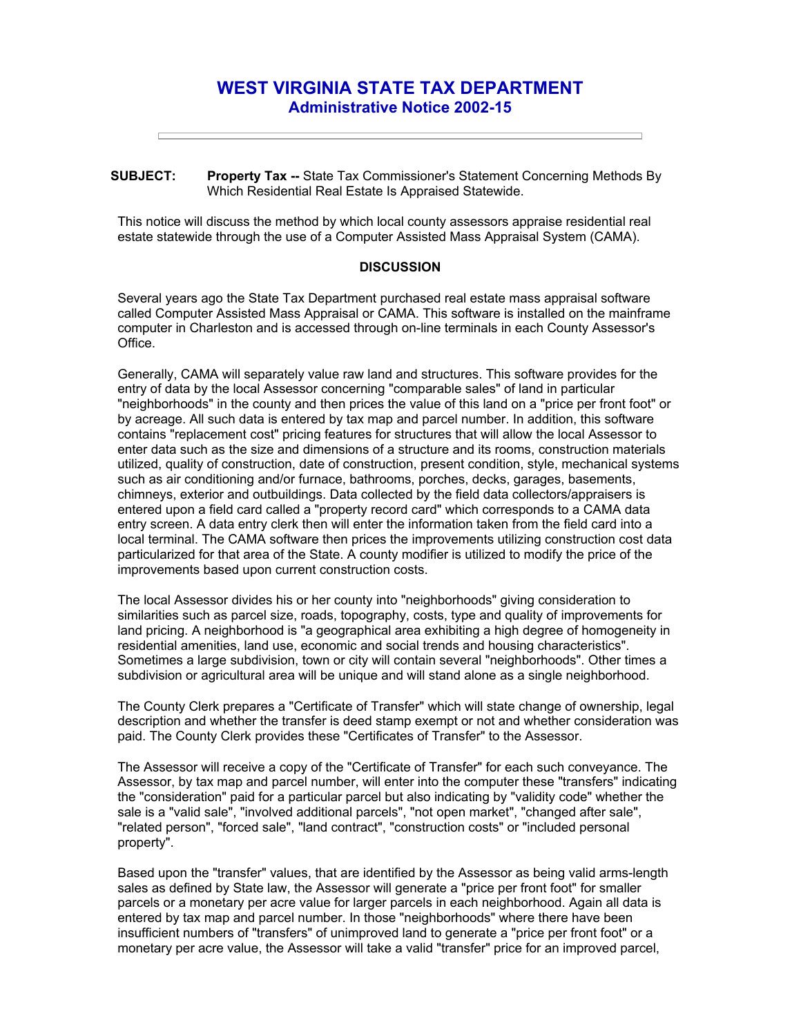## **WEST VIRGINIA STATE TAX DEPARTMENT Administrative Notice 2002-15**

**SUBJECT: Property Tax --** State Tax Commissioner's Statement Concerning Methods By Which Residential Real Estate Is Appraised Statewide.

This notice will discuss the method by which local county assessors appraise residential real estate statewide through the use of a Computer Assisted Mass Appraisal System (CAMA).

## **DISCUSSION**

Several years ago the State Tax Department purchased real estate mass appraisal software called Computer Assisted Mass Appraisal or CAMA. This software is installed on the mainframe computer in Charleston and is accessed through on-line terminals in each County Assessor's Office.

Generally, CAMA will separately value raw land and structures. This software provides for the entry of data by the local Assessor concerning "comparable sales" of land in particular "neighborhoods" in the county and then prices the value of this land on a "price per front foot" or by acreage. All such data is entered by tax map and parcel number. In addition, this software contains "replacement cost" pricing features for structures that will allow the local Assessor to enter data such as the size and dimensions of a structure and its rooms, construction materials utilized, quality of construction, date of construction, present condition, style, mechanical systems such as air conditioning and/or furnace, bathrooms, porches, decks, garages, basements, chimneys, exterior and outbuildings. Data collected by the field data collectors/appraisers is entered upon a field card called a "property record card" which corresponds to a CAMA data entry screen. A data entry clerk then will enter the information taken from the field card into a local terminal. The CAMA software then prices the improvements utilizing construction cost data particularized for that area of the State. A county modifier is utilized to modify the price of the improvements based upon current construction costs.

The local Assessor divides his or her county into "neighborhoods" giving consideration to similarities such as parcel size, roads, topography, costs, type and quality of improvements for land pricing. A neighborhood is "a geographical area exhibiting a high degree of homogeneity in residential amenities, land use, economic and social trends and housing characteristics". Sometimes a large subdivision, town or city will contain several "neighborhoods". Other times a subdivision or agricultural area will be unique and will stand alone as a single neighborhood.

The County Clerk prepares a "Certificate of Transfer" which will state change of ownership, legal description and whether the transfer is deed stamp exempt or not and whether consideration was paid. The County Clerk provides these "Certificates of Transfer" to the Assessor.

The Assessor will receive a copy of the "Certificate of Transfer" for each such conveyance. The Assessor, by tax map and parcel number, will enter into the computer these "transfers" indicating the "consideration" paid for a particular parcel but also indicating by "validity code" whether the sale is a "valid sale", "involved additional parcels", "not open market", "changed after sale", "related person", "forced sale", "land contract", "construction costs" or "included personal property".

Based upon the "transfer" values, that are identified by the Assessor as being valid arms-length sales as defined by State law, the Assessor will generate a "price per front foot" for smaller parcels or a monetary per acre value for larger parcels in each neighborhood. Again all data is entered by tax map and parcel number. In those "neighborhoods" where there have been insufficient numbers of "transfers" of unimproved land to generate a "price per front foot" or a monetary per acre value, the Assessor will take a valid "transfer" price for an improved parcel,